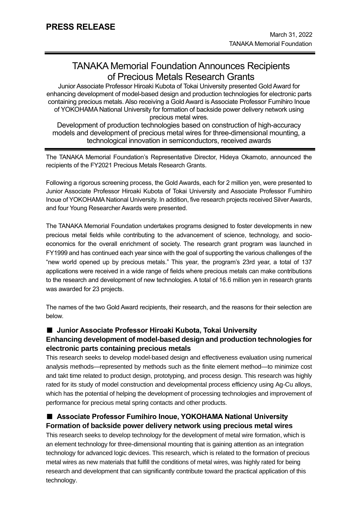# TANAKA Memorial Foundation Announces Recipients of Precious Metals Research Grants

Junior Associate Professor Hiroaki Kubota of Tokai University presented Gold Award for enhancing development of model-based design and production technologies for electronic parts containing precious metals. Also receiving a Gold Award is Associate Professor Fumihiro Inoue of YOKOHAMA National University for formation of backside power delivery network using precious metal wires.

Development of production technologies based on construction of high-accuracy models and development of precious metal wires for three-dimensional mounting, a technological innovation in semiconductors, received awards

The TANAKA Memorial Foundation's Representative Director, Hideya Okamoto, announced the recipients of the FY2021 Precious Metals Research Grants.

Following a rigorous screening process, the Gold Awards, each for 2 million yen, were presented to Junior Associate Professor Hiroaki Kubota of Tokai University and Associate Professor Fumihiro Inoue of YOKOHAMA National University. In addition, five research projects received Silver Awards, and four Young Researcher Awards were presented.

The TANAKA Memorial Foundation undertakes programs designed to foster developments in new precious metal fields while contributing to the advancement of science, technology, and socioeconomics for the overall enrichment of society. The research grant program was launched in FY1999 and has continued each year since with the goal of supporting the various challenges of the "new world opened up by precious metals." This year, the program's 23rd year, a total of 137 applications were received in a wide range of fields where precious metals can make contributions to the research and development of new technologies. A total of 16.6 million yen in research grants was awarded for 23 projects.

The names of the two Gold Award recipients, their research, and the reasons for their selection are below.

### ■ Junior Associate Professor Hiroaki Kubota, Tokai University

## **Enhancing development of model-based design and production technologies for electronic parts containing precious metals**

This research seeks to develop model-based design and effectiveness evaluation using numerical analysis methods—represented by methods such as the finite element method—to minimize cost and takt time related to product design, prototyping, and process design. This research was highly rated for its study of model construction and developmental process efficiency using Ag-Cu alloys, which has the potential of helping the development of processing technologies and improvement of performance for precious metal spring contacts and other products.

## ■ Associate Professor Fumihiro Inoue, YOKOHAMA National University **Formation of backside power delivery network using precious metal wires**

This research seeks to develop technology for the development of metal wire formation, which is an element technology for three-dimensional mounting that is gaining attention as an integration technology for advanced logic devices. This research, which is related to the formation of precious metal wires as new materials that fulfill the conditions of metal wires, was highly rated for being research and development that can significantly contribute toward the practical application of this technology.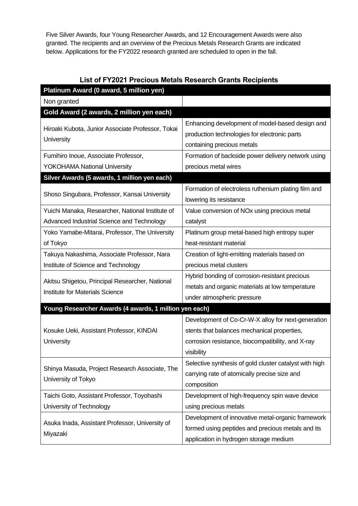Five Silver Awards, four Young Researcher Awards, and 12 Encouragement Awards were also granted. The recipients and an overview of the Precious Metals Research Grants are indicated below. Applications for the FY2022 research granted are scheduled to open in the fall.

| <b>List of FY2021 Precious Metals Research Grants Recipients</b> |
|------------------------------------------------------------------|
|------------------------------------------------------------------|

| Platinum Award (0 award, 5 million yen)                                                   |                                                                                                                               |  |
|-------------------------------------------------------------------------------------------|-------------------------------------------------------------------------------------------------------------------------------|--|
| Non granted                                                                               |                                                                                                                               |  |
| Gold Award (2 awards, 2 million yen each)                                                 |                                                                                                                               |  |
| Hiroaki Kubota, Junior Associate Professor, Tokai<br>University                           | Enhancing development of model-based design and<br>production technologies for electronic parts<br>containing precious metals |  |
| Fumihiro Inoue, Associate Professor,                                                      | Formation of backside power delivery network using                                                                            |  |
| <b>YOKOHAMA National University</b>                                                       | precious metal wires                                                                                                          |  |
| Silver Awards (5 awards, 1 million yen each)                                              |                                                                                                                               |  |
| Shoso Singubara, Professor, Kansai University                                             | Formation of electroless ruthenium plating film and<br>lowering its resistance                                                |  |
| Yuichi Manaka, Researcher, National Institute of                                          | Value conversion of NO <sub>x</sub> using precious metal                                                                      |  |
| Advanced Industrial Science and Technology                                                | catalyst                                                                                                                      |  |
| Yoko Yamabe-Mitarai, Professor, The University                                            | Platinum group metal-based high entropy super                                                                                 |  |
| of Tokyo                                                                                  | heat-resistant material                                                                                                       |  |
| Takuya Nakashima, Associate Professor, Nara                                               | Creation of light-emitting materials based on                                                                                 |  |
| Institute of Science and Technology                                                       | precious metal clusters                                                                                                       |  |
| Akitsu Shigetou, Principal Researcher, National<br><b>Institute for Materials Science</b> | Hybrid bonding of corrosion-resistant precious                                                                                |  |
|                                                                                           | metals and organic materials at low temperature                                                                               |  |
|                                                                                           | under atmospheric pressure                                                                                                    |  |
| Young Researcher Awards (4 awards, 1 million yen each)                                    |                                                                                                                               |  |
|                                                                                           | Development of Co-Cr-W-X alloy for next-generation                                                                            |  |
| Kosuke Ueki, Assistant Professor, KINDAI                                                  | stents that balances mechanical properties,                                                                                   |  |
| University                                                                                | corrosion resistance, biocompatibility, and X-ray                                                                             |  |
|                                                                                           | visibility                                                                                                                    |  |
| Shinya Masuda, Project Research Associate, The<br>University of Tokyo                     | Selective synthesis of gold cluster catalyst with high                                                                        |  |
|                                                                                           | carrying rate of atomically precise size and                                                                                  |  |
|                                                                                           | composition                                                                                                                   |  |
| Taichi Goto, Assistant Professor, Toyohashi                                               | Development of high-frequency spin wave device                                                                                |  |
| University of Technology                                                                  | using precious metals                                                                                                         |  |
| Asuka Inada, Assistant Professor, University of<br>Miyazaki                               | Development of innovative metal-organic framework                                                                             |  |
|                                                                                           | formed using peptides and precious metals and its                                                                             |  |
|                                                                                           | application in hydrogen storage medium                                                                                        |  |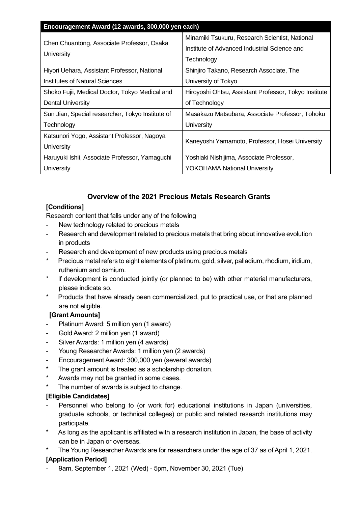| Encouragement Award (12 awards, 300,000 yen each)        |                                                       |  |
|----------------------------------------------------------|-------------------------------------------------------|--|
| Chen Chuantong, Associate Professor, Osaka<br>University | Minamiki Tsukuru, Research Scientist, National        |  |
|                                                          | Institute of Advanced Industrial Science and          |  |
|                                                          | Technology                                            |  |
| Hiyori Uehara, Assistant Professor, National             | Shinjiro Takano, Research Associate, The              |  |
| Institutes of Natural Sciences                           | University of Tokyo                                   |  |
| Shoko Fujii, Medical Doctor, Tokyo Medical and           | Hiroyoshi Ohtsu, Assistant Professor, Tokyo Institute |  |
| <b>Dental University</b>                                 | of Technology                                         |  |
| Sun Jian, Special researcher, Tokyo Institute of         | Masakazu Matsubara, Associate Professor, Tohoku       |  |
| Technology                                               | University                                            |  |
| Katsunori Yogo, Assistant Professor, Nagoya              | Kaneyoshi Yamamoto, Professor, Hosei University       |  |
| University                                               |                                                       |  |
| Haruyuki Ishii, Associate Professor, Yamaguchi           | Yoshiaki Nishijima, Associate Professor,              |  |
| University                                               | <b>YOKOHAMA National University</b>                   |  |

# **Overview of the 2021 Precious Metals Research Grants**

### **[Conditions]**

Research content that falls under any of the following

- New technology related to precious metals
- Research and development related to precious metals that bring about innovative evolution in products
- Research and development of new products using precious metals
- Precious metal refers to eight elements of platinum, gold, silver, palladium, rhodium, iridium, ruthenium and osmium.
- If development is conducted jointly (or planned to be) with other material manufacturers, please indicate so.
- Products that have already been commercialized, put to practical use, or that are planned are not eligible.

### **[Grant Amounts]**

- Platinum Award: 5 million yen (1 award)
- Gold Award: 2 million yen (1 award)
- Silver Awards: 1 million ven (4 awards)
- Young Researcher Awards: 1 million yen (2 awards)
- Encouragement Award: 300,000 yen (several awards)
- The grant amount is treated as a scholarship donation.
- Awards may not be granted in some cases.
- The number of awards is subject to change.

### **[Eligible Candidates]**

- Personnel who belong to (or work for) educational institutions in Japan (universities, graduate schools, or technical colleges) or public and related research institutions may participate.
- As long as the applicant is affiliated with a research institution in Japan, the base of activity can be in Japan or overseas.
- The Young Researcher Awards are for researchers under the age of 37 as of April 1, 2021.

## **[Application Period]**

- 9am, September 1, 2021 (Wed) - 5pm, November 30, 2021 (Tue)